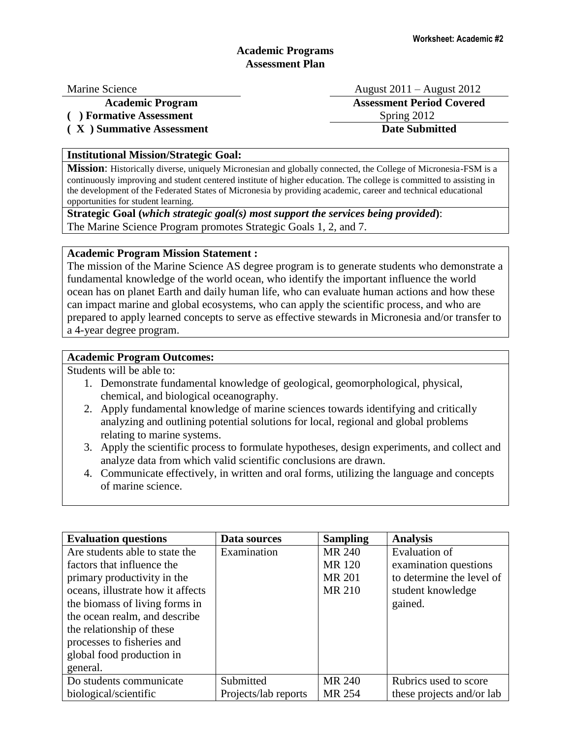# **Academic Programs Assessment Plan**

(a) **Formative Assessment** Spring 2012

**( X ) Summative Assessment Date Submitted**

Marine Science August 2011 – August 2012 **Academic Program Assessment Period Covered**

### **Institutional Mission/Strategic Goal:**

**Mission**: Historically diverse, uniquely Micronesian and globally connected, the College of Micronesia-FSM is a continuously improving and student centered institute of higher education. The college is committed to assisting in the development of the Federated States of Micronesia by providing academic, career and technical educational opportunities for student learning.

**Strategic Goal (***which strategic goal(s) most support the services being provided***)**: The Marine Science Program promotes Strategic Goals 1, 2, and 7.

## **Academic Program Mission Statement :**

The mission of the Marine Science AS degree program is to generate students who demonstrate a fundamental knowledge of the world ocean, who identify the important influence the world ocean has on planet Earth and daily human life, who can evaluate human actions and how these can impact marine and global ecosystems, who can apply the scientific process, and who are prepared to apply learned concepts to serve as effective stewards in Micronesia and/or transfer to a 4-year degree program.

### **Academic Program Outcomes:**

Students will be able to:

- 1. Demonstrate fundamental knowledge of geological, geomorphological, physical, chemical, and biological oceanography.
- 2. Apply fundamental knowledge of marine sciences towards identifying and critically analyzing and outlining potential solutions for local, regional and global problems relating to marine systems.
- 3. Apply the scientific process to formulate hypotheses, design experiments, and collect and analyze data from which valid scientific conclusions are drawn.
- 4. Communicate effectively, in written and oral forms, utilizing the language and concepts of marine science.

| <b>Evaluation questions</b>       | Data sources         | <b>Sampling</b> | <b>Analysis</b>           |
|-----------------------------------|----------------------|-----------------|---------------------------|
| Are students able to state the    | Examination          | MR 240          | Evaluation of             |
| factors that influence the        |                      | <b>MR120</b>    | examination questions     |
| primary productivity in the       |                      | <b>MR 201</b>   | to determine the level of |
| oceans, illustrate how it affects |                      | MR 210          | student knowledge         |
| the biomass of living forms in    |                      |                 | gained.                   |
| the ocean realm, and describe     |                      |                 |                           |
| the relationship of these         |                      |                 |                           |
| processes to fisheries and        |                      |                 |                           |
| global food production in         |                      |                 |                           |
| general.                          |                      |                 |                           |
| Do students communicate           | Submitted            | MR 240          | Rubrics used to score     |
| biological/scientific             | Projects/lab reports | MR 254          | these projects and/or lab |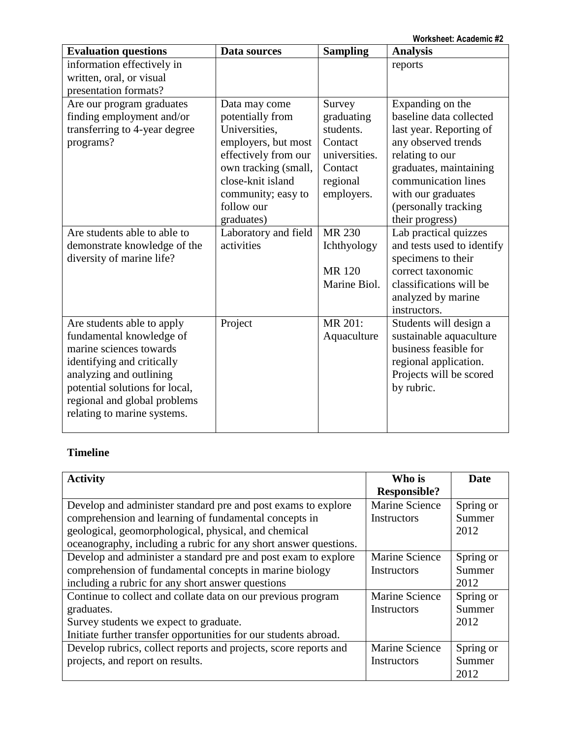**Worksheet: Academic #2**

| <b>Evaluation questions</b>                                                                                                                                                                                                                 | Data sources                                                                                                                                                                                     | <b>Sampling</b>                                                                                    | <b>Analysis</b>                                                                                                                                                                                                                    |
|---------------------------------------------------------------------------------------------------------------------------------------------------------------------------------------------------------------------------------------------|--------------------------------------------------------------------------------------------------------------------------------------------------------------------------------------------------|----------------------------------------------------------------------------------------------------|------------------------------------------------------------------------------------------------------------------------------------------------------------------------------------------------------------------------------------|
| information effectively in<br>written, oral, or visual<br>presentation formats?                                                                                                                                                             |                                                                                                                                                                                                  |                                                                                                    | reports                                                                                                                                                                                                                            |
| Are our program graduates<br>finding employment and/or<br>transferring to 4-year degree<br>programs?                                                                                                                                        | Data may come<br>potentially from<br>Universities,<br>employers, but most<br>effectively from our<br>own tracking (small,<br>close-knit island<br>community; easy to<br>follow our<br>graduates) | Survey<br>graduating<br>students.<br>Contact<br>universities.<br>Contact<br>regional<br>employers. | Expanding on the<br>baseline data collected<br>last year. Reporting of<br>any observed trends<br>relating to our<br>graduates, maintaining<br>communication lines<br>with our graduates<br>(personally tracking<br>their progress) |
| Are students able to able to<br>demonstrate knowledge of the<br>diversity of marine life?                                                                                                                                                   | Laboratory and field<br>activities                                                                                                                                                               | <b>MR 230</b><br>Ichthyology<br><b>MR120</b><br>Marine Biol.                                       | Lab practical quizzes<br>and tests used to identify<br>specimens to their<br>correct taxonomic<br>classifications will be<br>analyzed by marine<br>instructors.                                                                    |
| Are students able to apply<br>fundamental knowledge of<br>marine sciences towards<br>identifying and critically<br>analyzing and outlining<br>potential solutions for local,<br>regional and global problems<br>relating to marine systems. | Project                                                                                                                                                                                          | MR 201:<br>Aquaculture                                                                             | Students will design a<br>sustainable aquaculture<br>business feasible for<br>regional application.<br>Projects will be scored<br>by rubric.                                                                                       |

# **Timeline**

| <b>Activity</b>                                                  | Who is              | <b>Date</b> |
|------------------------------------------------------------------|---------------------|-------------|
|                                                                  | <b>Responsible?</b> |             |
| Develop and administer standard pre and post exams to explore    | Marine Science      | Spring or   |
| comprehension and learning of fundamental concepts in            | Instructors         | Summer      |
| geological, geomorphological, physical, and chemical             |                     | 2012        |
| oceanography, including a rubric for any short answer questions. |                     |             |
| Develop and administer a standard pre and post exam to explore   | Marine Science      | Spring or   |
| comprehension of fundamental concepts in marine biology          | <b>Instructors</b>  | Summer      |
| including a rubric for any short answer questions                |                     | 2012        |
| Continue to collect and collate data on our previous program     | Marine Science      | Spring or   |
| graduates.                                                       | Instructors         | Summer      |
| Survey students we expect to graduate.                           |                     | 2012        |
| Initiate further transfer opportunities for our students abroad. |                     |             |
| Develop rubrics, collect reports and projects, score reports and | Marine Science      | Spring or   |
| projects, and report on results.                                 | Instructors         | Summer      |
|                                                                  |                     | 2012        |